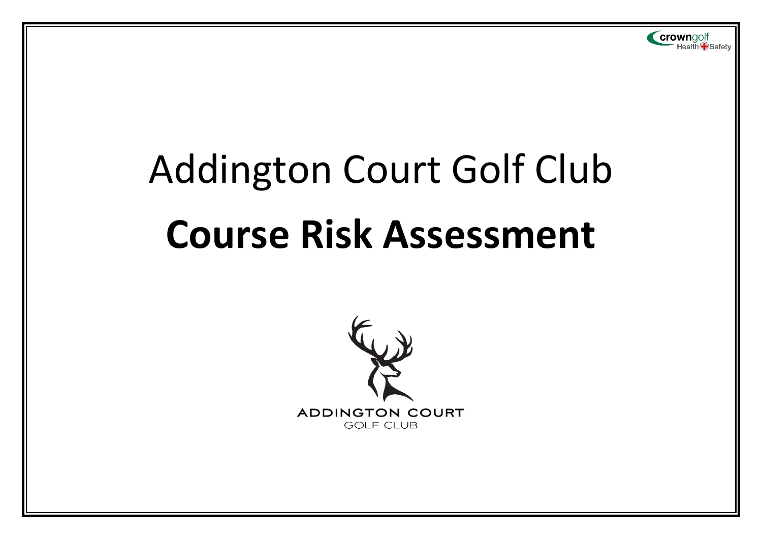# Addington Court Golf Club **Course Risk Assessment**

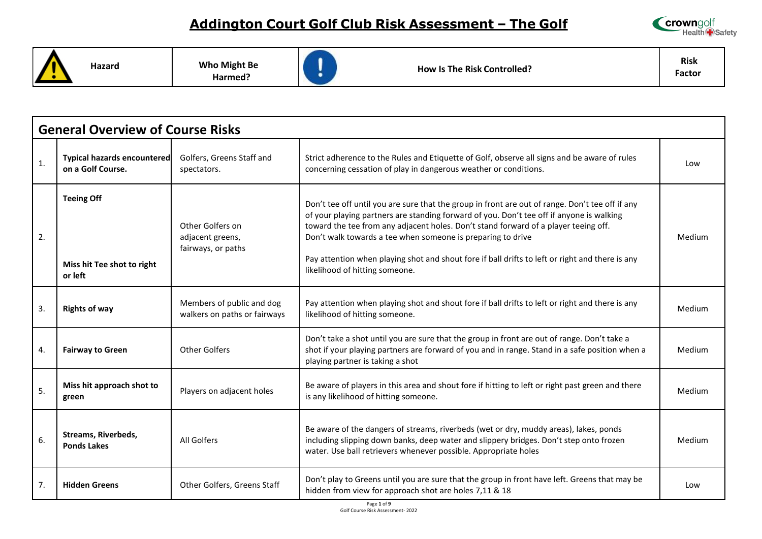

**Hazard Who Might Be** 

**Harmed?**



**How Is The Risk Controlled?**

**Risk Factor**

|                  | <b>General Overview of Course Risks</b>                    |                                                            |                                                                                                                                                                                                                                                                                                                                                                                                                                                                                        |        |  |
|------------------|------------------------------------------------------------|------------------------------------------------------------|----------------------------------------------------------------------------------------------------------------------------------------------------------------------------------------------------------------------------------------------------------------------------------------------------------------------------------------------------------------------------------------------------------------------------------------------------------------------------------------|--------|--|
| $\mathbf{1}$ .   | <b>Typical hazards encountered</b><br>on a Golf Course.    | Golfers, Greens Staff and<br>spectators.                   | Strict adherence to the Rules and Etiquette of Golf, observe all signs and be aware of rules<br>concerning cessation of play in dangerous weather or conditions.                                                                                                                                                                                                                                                                                                                       | Low    |  |
| 2.               | <b>Teeing Off</b><br>Miss hit Tee shot to right<br>or left | Other Golfers on<br>adjacent greens,<br>fairways, or paths | Don't tee off until you are sure that the group in front are out of range. Don't tee off if any<br>of your playing partners are standing forward of you. Don't tee off if anyone is walking<br>toward the tee from any adjacent holes. Don't stand forward of a player teeing off.<br>Don't walk towards a tee when someone is preparing to drive<br>Pay attention when playing shot and shout fore if ball drifts to left or right and there is any<br>likelihood of hitting someone. | Medium |  |
| $\overline{3}$ . | <b>Rights of way</b>                                       | Members of public and dog<br>walkers on paths or fairways  | Pay attention when playing shot and shout fore if ball drifts to left or right and there is any<br>likelihood of hitting someone.                                                                                                                                                                                                                                                                                                                                                      | Medium |  |
| 4.               | <b>Fairway to Green</b>                                    | Other Golfers                                              | Don't take a shot until you are sure that the group in front are out of range. Don't take a<br>shot if your playing partners are forward of you and in range. Stand in a safe position when a<br>playing partner is taking a shot                                                                                                                                                                                                                                                      | Medium |  |
| 5.               | Miss hit approach shot to<br>green                         | Players on adjacent holes                                  | Be aware of players in this area and shout fore if hitting to left or right past green and there<br>is any likelihood of hitting someone.                                                                                                                                                                                                                                                                                                                                              | Medium |  |
| 6.               | <b>Streams, Riverbeds,</b><br><b>Ponds Lakes</b>           | All Golfers                                                | Be aware of the dangers of streams, riverbeds (wet or dry, muddy areas), lakes, ponds<br>including slipping down banks, deep water and slippery bridges. Don't step onto frozen<br>water. Use ball retrievers whenever possible. Appropriate holes                                                                                                                                                                                                                                     | Medium |  |
| 7.               | <b>Hidden Greens</b>                                       | Other Golfers, Greens Staff                                | Don't play to Greens until you are sure that the group in front have left. Greens that may be<br>hidden from view for approach shot are holes 7,11 & 18                                                                                                                                                                                                                                                                                                                                | Low    |  |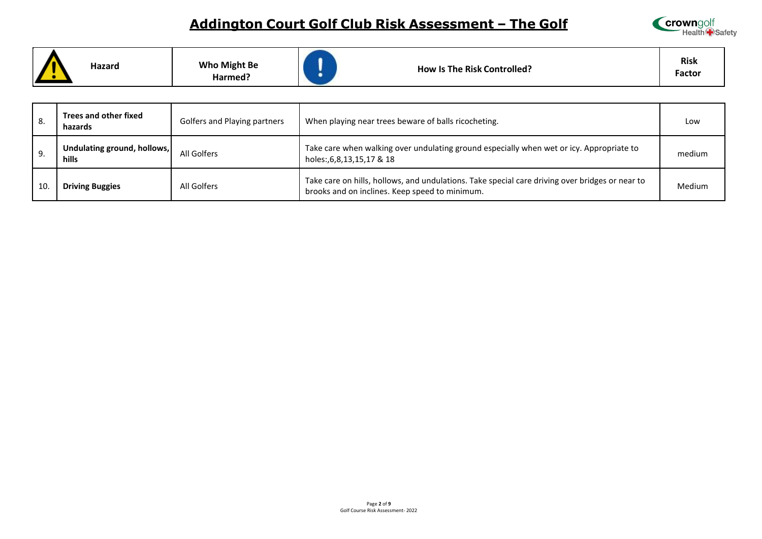

|  | Hazard | <b>Who Might Be</b><br>Harmed? | <b>How Is The Risk Controlled?</b> | <b>Risk</b><br>Factor |
|--|--------|--------------------------------|------------------------------------|-----------------------|
|--|--------|--------------------------------|------------------------------------|-----------------------|

| 8. | Trees and other fixed<br>hazards     | Golfers and Playing partners | When playing near trees beware of balls ricocheting.                                                                                              | Low           |
|----|--------------------------------------|------------------------------|---------------------------------------------------------------------------------------------------------------------------------------------------|---------------|
| 9. | Undulating ground, hollows,<br>hills | All Golfers                  | Take care when walking over undulating ground especially when wet or icy. Appropriate to<br>holes:,6,8,13,15,17 & 18                              | medium        |
| 10 | <b>Driving Buggies</b>               | All Golfers                  | Take care on hills, hollows, and undulations. Take special care driving over bridges or near to<br>brooks and on inclines. Keep speed to minimum. | <b>Medium</b> |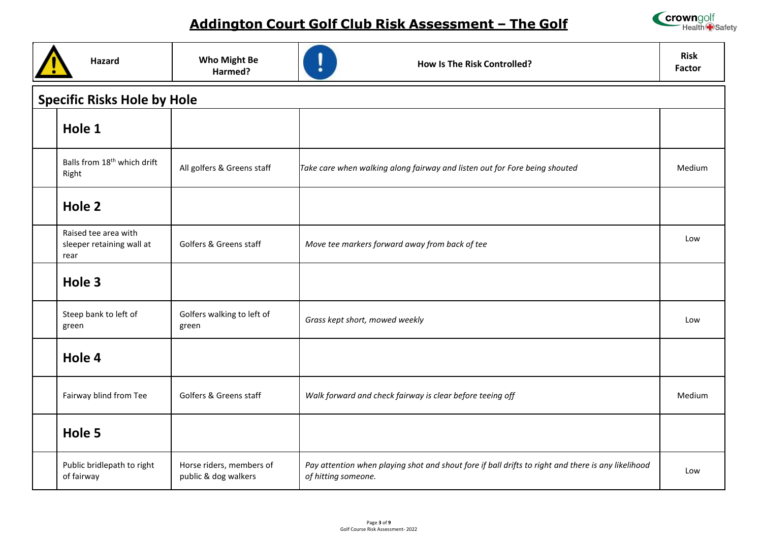

| Hazard                                                    | <b>Who Might Be</b><br>Harmed?                   | <b>How Is The Risk Controlled?</b>                                                                                        | <b>Risk</b><br><b>Factor</b> |
|-----------------------------------------------------------|--------------------------------------------------|---------------------------------------------------------------------------------------------------------------------------|------------------------------|
| <b>Specific Risks Hole by Hole</b>                        |                                                  |                                                                                                                           |                              |
| Hole 1                                                    |                                                  |                                                                                                                           |                              |
| Balls from 18 <sup>th</sup> which drift<br>Right          | All golfers & Greens staff                       | Take care when walking along fairway and listen out for Fore being shouted                                                | Medium                       |
| Hole 2                                                    |                                                  |                                                                                                                           |                              |
| Raised tee area with<br>sleeper retaining wall at<br>rear | Golfers & Greens staff                           | Move tee markers forward away from back of tee                                                                            | Low                          |
| Hole 3                                                    |                                                  |                                                                                                                           |                              |
| Steep bank to left of<br>green                            | Golfers walking to left of<br>green              | Grass kept short, mowed weekly                                                                                            | Low                          |
| Hole 4                                                    |                                                  |                                                                                                                           |                              |
| Fairway blind from Tee                                    | Golfers & Greens staff                           | Walk forward and check fairway is clear before teeing off                                                                 | Medium                       |
| Hole 5                                                    |                                                  |                                                                                                                           |                              |
| Public bridlepath to right<br>of fairway                  | Horse riders, members of<br>public & dog walkers | Pay attention when playing shot and shout fore if ball drifts to right and there is any likelihood<br>of hitting someone. | Low                          |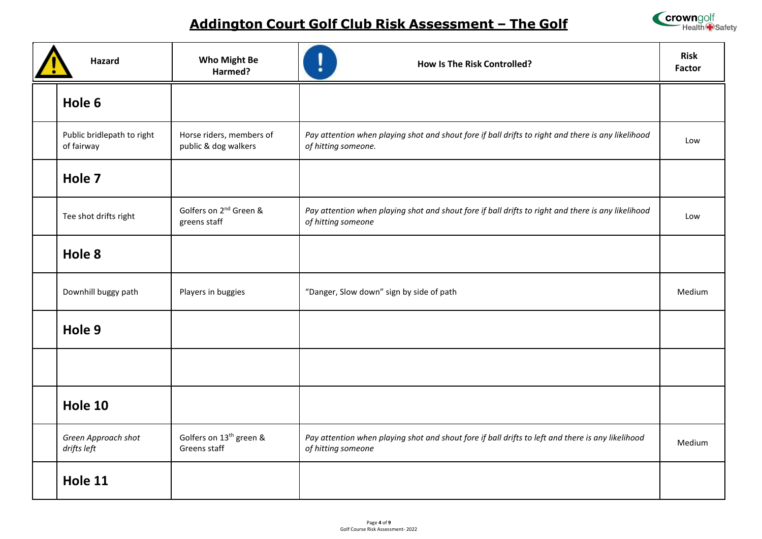



| <b>Hazard</b>                            | <b>Who Might Be</b><br>Harmed?                      | <b>How Is The Risk Controlled?</b>                                                                                        | <b>Risk</b><br><b>Factor</b> |
|------------------------------------------|-----------------------------------------------------|---------------------------------------------------------------------------------------------------------------------------|------------------------------|
| Hole 6                                   |                                                     |                                                                                                                           |                              |
| Public bridlepath to right<br>of fairway | Horse riders, members of<br>public & dog walkers    | Pay attention when playing shot and shout fore if ball drifts to right and there is any likelihood<br>of hitting someone. | Low                          |
| Hole 7                                   |                                                     |                                                                                                                           |                              |
| Tee shot drifts right                    | Golfers on 2 <sup>nd</sup> Green &<br>greens staff  | Pay attention when playing shot and shout fore if ball drifts to right and there is any likelihood<br>of hitting someone  | Low                          |
| Hole 8                                   |                                                     |                                                                                                                           |                              |
| Downhill buggy path                      | Players in buggies                                  | "Danger, Slow down" sign by side of path                                                                                  | Medium                       |
| Hole 9                                   |                                                     |                                                                                                                           |                              |
|                                          |                                                     |                                                                                                                           |                              |
| Hole 10                                  |                                                     |                                                                                                                           |                              |
| Green Approach shot<br>drifts left       | Golfers on 13 <sup>th</sup> green &<br>Greens staff | Pay attention when playing shot and shout fore if ball drifts to left and there is any likelihood<br>of hitting someone   | Medium                       |
| Hole 11                                  |                                                     |                                                                                                                           |                              |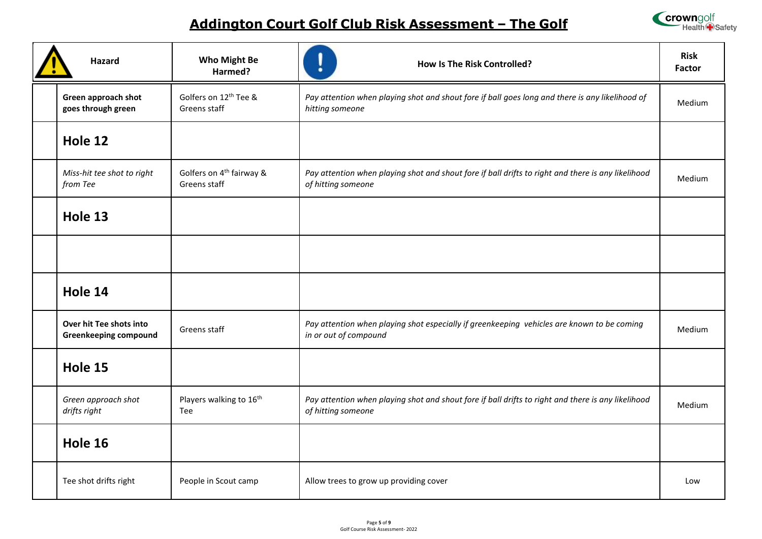

| Hazard                                                  | <b>Who Might Be</b><br>Harmed?                       | ı<br><b>How Is The Risk Controlled?</b>                                                                                  | <b>Risk</b><br><b>Factor</b> |
|---------------------------------------------------------|------------------------------------------------------|--------------------------------------------------------------------------------------------------------------------------|------------------------------|
| Green approach shot<br>goes through green               | Golfers on 12 <sup>th</sup> Tee &<br>Greens staff    | Pay attention when playing shot and shout fore if ball goes long and there is any likelihood of<br>hitting someone       | Medium                       |
| Hole 12                                                 |                                                      |                                                                                                                          |                              |
| Miss-hit tee shot to right<br>from Tee                  | Golfers on 4 <sup>th</sup> fairway &<br>Greens staff | Pay attention when playing shot and shout fore if ball drifts to right and there is any likelihood<br>of hitting someone | Medium                       |
| Hole 13                                                 |                                                      |                                                                                                                          |                              |
|                                                         |                                                      |                                                                                                                          |                              |
| Hole 14                                                 |                                                      |                                                                                                                          |                              |
| Over hit Tee shots into<br><b>Greenkeeping compound</b> | Greens staff                                         | Pay attention when playing shot especially if greenkeeping vehicles are known to be coming<br>in or out of compound      | Medium                       |
| Hole 15                                                 |                                                      |                                                                                                                          |                              |
| Green approach shot<br>drifts right                     | Players walking to 16th<br>Tee                       | Pay attention when playing shot and shout fore if ball drifts to right and there is any likelihood<br>of hitting someone | Medium                       |
| Hole 16                                                 |                                                      |                                                                                                                          |                              |
| Tee shot drifts right                                   | People in Scout camp                                 | Allow trees to grow up providing cover                                                                                   | Low                          |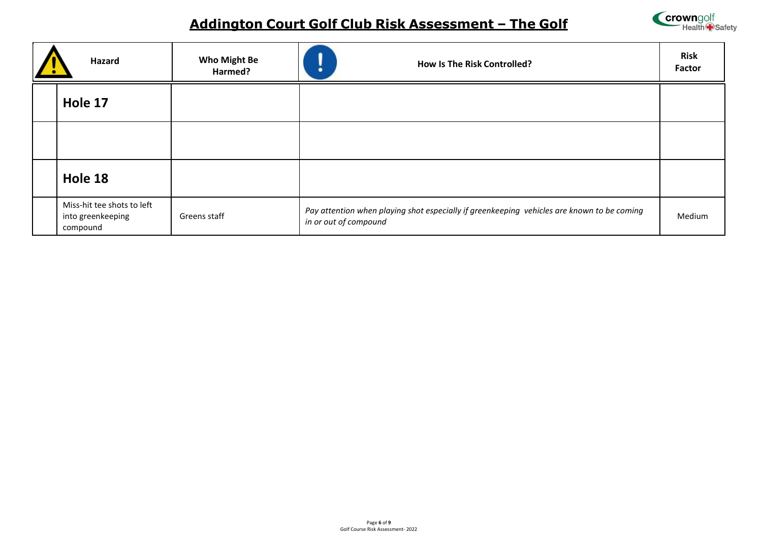

| Hazard                                                      | <b>Who Might Be</b><br>Harmed? | <b>How Is The Risk Controlled?</b><br>٠                                                                             | <b>Risk</b><br>Factor |
|-------------------------------------------------------------|--------------------------------|---------------------------------------------------------------------------------------------------------------------|-----------------------|
| Hole 17                                                     |                                |                                                                                                                     |                       |
|                                                             |                                |                                                                                                                     |                       |
| Hole 18                                                     |                                |                                                                                                                     |                       |
| Miss-hit tee shots to left<br>into greenkeeping<br>compound | Greens staff                   | Pay attention when playing shot especially if greenkeeping vehicles are known to be coming<br>in or out of compound | Medium                |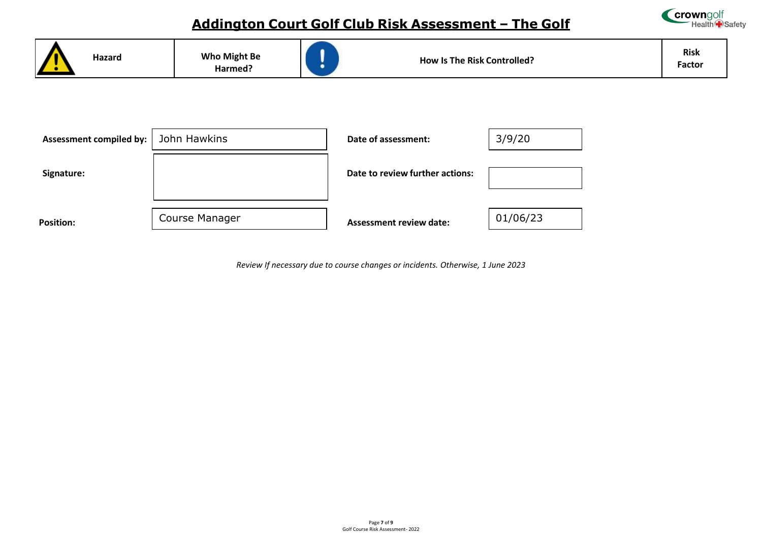



*Review If necessary due to course changes or incidents. Otherwise, 1 June 2023*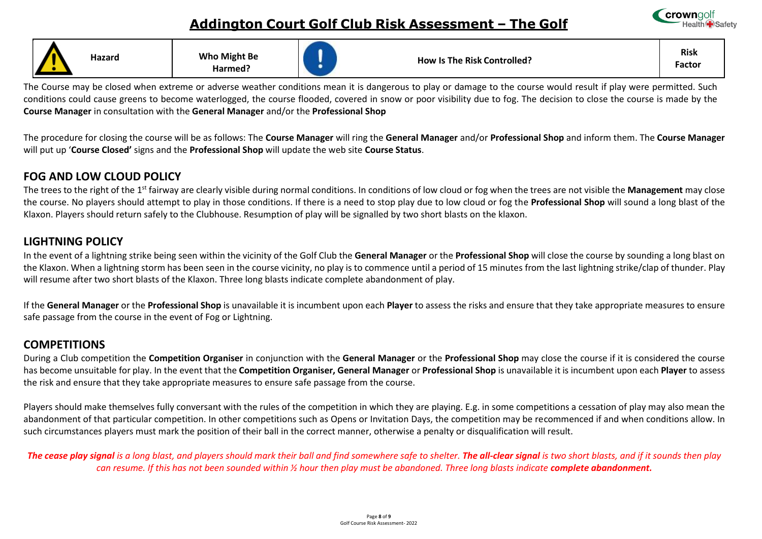

| Hazard | <b>Who Might Be</b><br>Harmed? | <b>How Is The Risk Controlled?</b> | <b>Risk</b><br>Factor |
|--------|--------------------------------|------------------------------------|-----------------------|

The Course may be closed when extreme or adverse weather conditions mean it is dangerous to play or damage to the course would result if play were permitted. Such conditions could cause greens to become waterlogged, the course flooded, covered in snow or poor visibility due to fog. The decision to close the course is made by the **Course Manager** in consultation with the **General Manager** and/or the **Professional Shop** 

The procedure for closing the course will be as follows: The **Course Manager** will ring the **General Manager** and/or **Professional Shop** and inform them. The **Course Manager**  will put up '**Course Closed'** signs and the **Professional Shop** will update the web site **Course Status**.

#### **FOG AND LOW CLOUD POLICY**

The trees to the right of the 1st fairway are clearly visible during normal conditions. In conditions of low cloud or fog when the trees are not visible the **Management** may close the course. No players should attempt to play in those conditions. If there is a need to stop play due to low cloud or fog the **Professional Shop** will sound a long blast of the Klaxon. Players should return safely to the Clubhouse. Resumption of play will be signalled by two short blasts on the klaxon.

#### **LIGHTNING POLICY**

In the event of a lightning strike being seen within the vicinity of the Golf Club the **General Manager** or the **Professional Shop** will close the course by sounding a long blast on the Klaxon. When a lightning storm has been seen in the course vicinity, no play is to commence until a period of 15 minutes from the last lightning strike/clap of thunder. Play will resume after two short blasts of the Klaxon. Three long blasts indicate complete abandonment of play.

If the **General Manager** or the **Professional Shop** is unavailable it is incumbent upon each **Player** to assess the risks and ensure that they take appropriate measures to ensure safe passage from the course in the event of Fog or Lightning.

#### **COMPETITIONS**

During a Club competition the **Competition Organiser** in conjunction with the **General Manager** or the **Professional Shop** may close the course if it is considered the course has become unsuitable for play. In the event that the **Competition Organiser, General Manager** or **Professional Shop** is unavailable it is incumbent upon each **Player** to assess the risk and ensure that they take appropriate measures to ensure safe passage from the course.

Players should make themselves fully conversant with the rules of the competition in which they are playing. E.g. in some competitions a cessation of play may also mean the abandonment of that particular competition. In other competitions such as Opens or Invitation Days, the competition may be recommenced if and when conditions allow. In such circumstances players must mark the position of their ball in the correct manner, otherwise a penalty or disqualification will result.

The cease play signal is a long blast, and players should mark their ball and find somewhere safe to shelter. The all-clear signal is two short blasts, and if it sounds then play can resume. If this has not been sounded within ½ hour then play must be abandoned. Three long blasts indicate **complete abandonment.**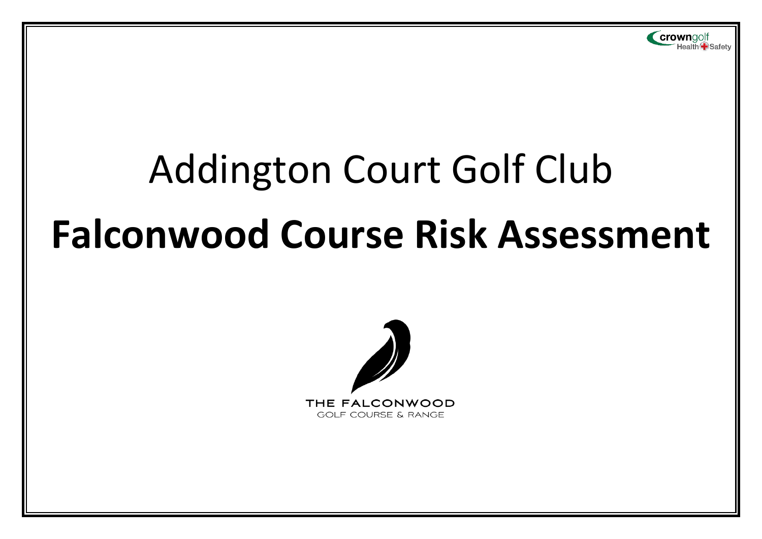

# Addington Court Golf Club **Falconwood Course Risk Assessment**

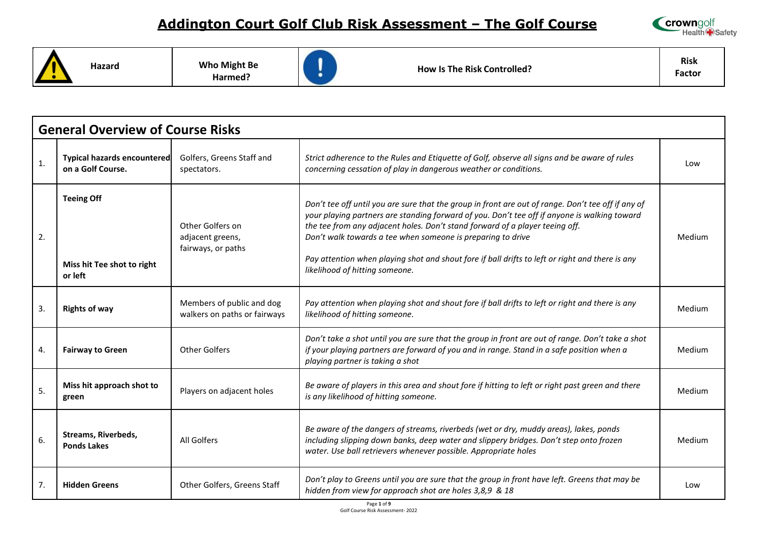

**Hazard Who Might Be** 

**Harmed?**



**How Is The Risk Controlled?**

**Risk Factor**

|                | <b>General Overview of Course Risks</b>                    |                                                            |                                                                                                                                                                                                                                                                                                                                                                                                                                                                                        |        |  |
|----------------|------------------------------------------------------------|------------------------------------------------------------|----------------------------------------------------------------------------------------------------------------------------------------------------------------------------------------------------------------------------------------------------------------------------------------------------------------------------------------------------------------------------------------------------------------------------------------------------------------------------------------|--------|--|
| 1.             | <b>Typical hazards encountered</b><br>on a Golf Course.    | Golfers, Greens Staff and<br>spectators.                   | Strict adherence to the Rules and Etiquette of Golf, observe all signs and be aware of rules<br>concerning cessation of play in dangerous weather or conditions.                                                                                                                                                                                                                                                                                                                       | Low    |  |
| 2.             | <b>Teeing Off</b><br>Miss hit Tee shot to right<br>or left | Other Golfers on<br>adjacent greens,<br>fairways, or paths | Don't tee off until you are sure that the group in front are out of range. Don't tee off if any of<br>your playing partners are standing forward of you. Don't tee off if anyone is walking toward<br>the tee from any adjacent holes. Don't stand forward of a player teeing off.<br>Don't walk towards a tee when someone is preparing to drive<br>Pay attention when playing shot and shout fore if ball drifts to left or right and there is any<br>likelihood of hitting someone. | Medium |  |
| 3.             | <b>Rights of way</b>                                       | Members of public and dog<br>walkers on paths or fairways  | Pay attention when playing shot and shout fore if ball drifts to left or right and there is any<br>likelihood of hitting someone.                                                                                                                                                                                                                                                                                                                                                      | Medium |  |
| 4.             | <b>Fairway to Green</b>                                    | <b>Other Golfers</b>                                       | Don't take a shot until you are sure that the group in front are out of range. Don't take a shot<br>if your playing partners are forward of you and in range. Stand in a safe position when a<br>playing partner is taking a shot                                                                                                                                                                                                                                                      | Medium |  |
| 5.             | Miss hit approach shot to<br>green                         | Players on adjacent holes                                  | Be aware of players in this area and shout fore if hitting to left or right past green and there<br>is any likelihood of hitting someone.                                                                                                                                                                                                                                                                                                                                              | Medium |  |
| 6.             | Streams, Riverbeds,<br><b>Ponds Lakes</b>                  | All Golfers                                                | Be aware of the dangers of streams, riverbeds (wet or dry, muddy areas), lakes, ponds<br>including slipping down banks, deep water and slippery bridges. Don't step onto frozen<br>water. Use ball retrievers whenever possible. Appropriate holes                                                                                                                                                                                                                                     | Medium |  |
| 7 <sub>1</sub> | <b>Hidden Greens</b>                                       | Other Golfers, Greens Staff                                | Don't play to Greens until you are sure that the group in front have left. Greens that may be<br>hidden from view for approach shot are holes 3,8,9 & 18                                                                                                                                                                                                                                                                                                                               | Low    |  |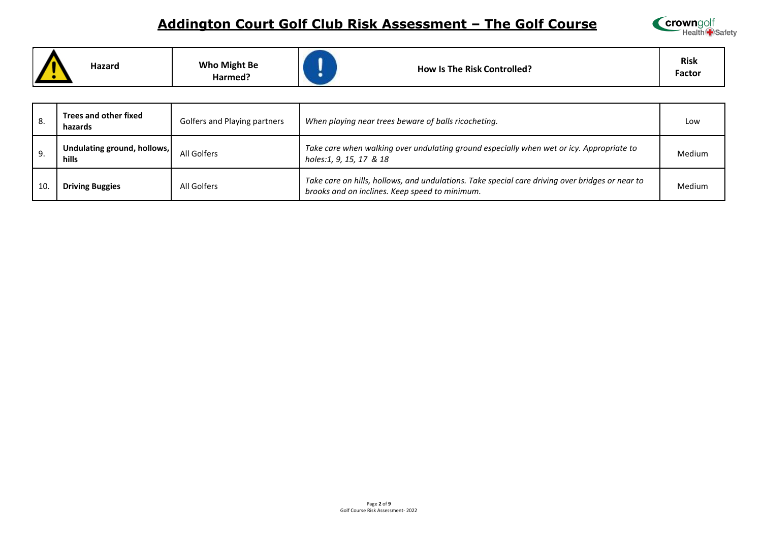

|  | Hazard | <b>Who Might Be</b><br>Harmed? | <b>How Is The Risk Controlled?</b> | Risk<br>Factor |
|--|--------|--------------------------------|------------------------------------|----------------|
|--|--------|--------------------------------|------------------------------------|----------------|

| 8. | Trees and other fixed<br>hazards            | Golfers and Playing partners | When playing near trees beware of balls ricocheting.                                                                                              | Low           |
|----|---------------------------------------------|------------------------------|---------------------------------------------------------------------------------------------------------------------------------------------------|---------------|
| 9. | Undulating ground, hollows,<br><b>hills</b> | All Golfers                  | Take care when walking over undulating ground especially when wet or icy. Appropriate to<br>holes:1, 9, 15, 17 & 18                               | <b>Medium</b> |
| 10 | <b>Driving Buggies</b>                      | All Golfers                  | Take care on hills, hollows, and undulations. Take special care driving over bridges or near to<br>brooks and on inclines. Keep speed to minimum. | <b>Medium</b> |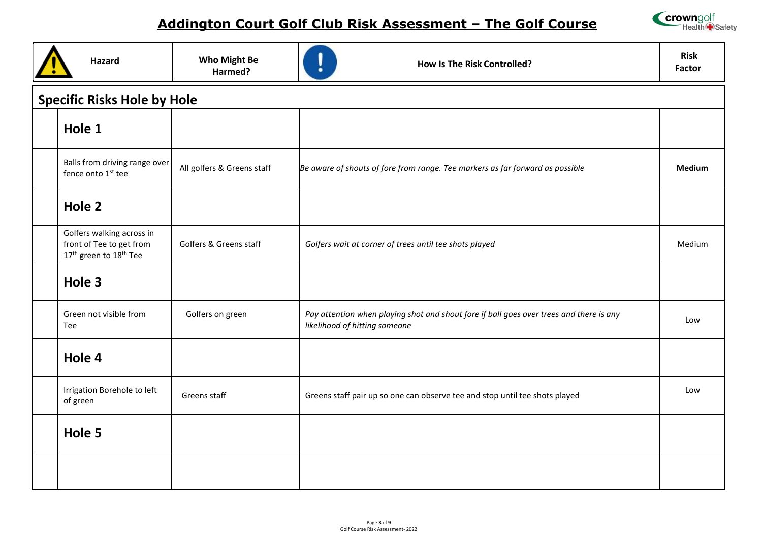

| <b>Hazard</b>                                                                                           | <b>Who Might Be</b><br>Harmed? | <b>How Is The Risk Controlled?</b>                                                                                       | <b>Risk</b><br><b>Factor</b> |  |  |  |  |
|---------------------------------------------------------------------------------------------------------|--------------------------------|--------------------------------------------------------------------------------------------------------------------------|------------------------------|--|--|--|--|
| <b>Specific Risks Hole by Hole</b>                                                                      |                                |                                                                                                                          |                              |  |  |  |  |
| Hole 1                                                                                                  |                                |                                                                                                                          |                              |  |  |  |  |
| Balls from driving range over<br>fence onto 1 <sup>st</sup> tee                                         | All golfers & Greens staff     | Be aware of shouts of fore from range. Tee markers as far forward as possible                                            | <b>Medium</b>                |  |  |  |  |
| Hole 2                                                                                                  |                                |                                                                                                                          |                              |  |  |  |  |
| Golfers walking across in<br>front of Tee to get from<br>17 <sup>th</sup> green to 18 <sup>th</sup> Tee | Golfers & Greens staff         | Golfers wait at corner of trees until tee shots played                                                                   | Medium                       |  |  |  |  |
| Hole 3                                                                                                  |                                |                                                                                                                          |                              |  |  |  |  |
| Green not visible from<br>Tee                                                                           | Golfers on green               | Pay attention when playing shot and shout fore if ball goes over trees and there is any<br>likelihood of hitting someone | Low                          |  |  |  |  |
| Hole 4                                                                                                  |                                |                                                                                                                          |                              |  |  |  |  |
| Irrigation Borehole to left<br>of green                                                                 | Greens staff                   | Greens staff pair up so one can observe tee and stop until tee shots played                                              | Low                          |  |  |  |  |
| Hole 5                                                                                                  |                                |                                                                                                                          |                              |  |  |  |  |
|                                                                                                         |                                |                                                                                                                          |                              |  |  |  |  |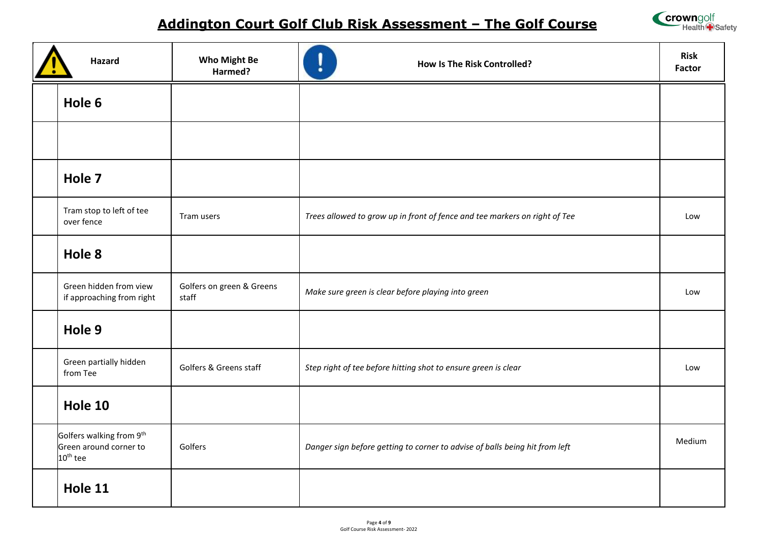

| Hazard                                                                     | <b>Who Might Be</b><br>Harmed?     | <b>How Is The Risk Controlled?</b>                                          | <b>Risk</b><br>Factor |
|----------------------------------------------------------------------------|------------------------------------|-----------------------------------------------------------------------------|-----------------------|
| Hole 6                                                                     |                                    |                                                                             |                       |
|                                                                            |                                    |                                                                             |                       |
| Hole 7                                                                     |                                    |                                                                             |                       |
| Tram stop to left of tee<br>over fence                                     | Tram users                         | Trees allowed to grow up in front of fence and tee markers on right of Tee  | Low                   |
| Hole 8                                                                     |                                    |                                                                             |                       |
| Green hidden from view<br>if approaching from right                        | Golfers on green & Greens<br>staff | Make sure green is clear before playing into green                          | Low                   |
| Hole 9                                                                     |                                    |                                                                             |                       |
| Green partially hidden<br>from Tee                                         | Golfers & Greens staff             | Step right of tee before hitting shot to ensure green is clear              | Low                   |
| Hole 10                                                                    |                                    |                                                                             |                       |
| Golfers walking from 9th<br>Green around corner to<br>10 <sup>th</sup> tee | Golfers                            | Danger sign before getting to corner to advise of balls being hit from left | Medium                |
| Hole 11                                                                    |                                    |                                                                             |                       |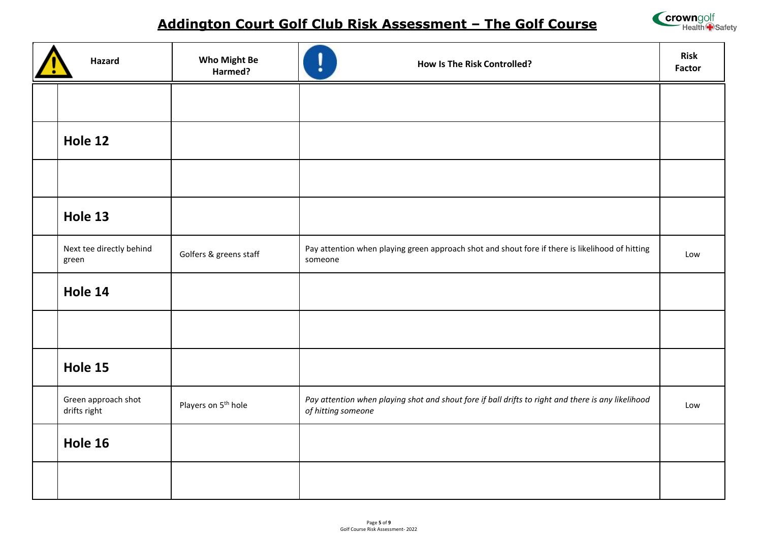

| Hazard                              | Who Might Be<br>Harmed?         | <b>How Is The Risk Controlled?</b>                                                                                       | <b>Risk</b><br><b>Factor</b> |
|-------------------------------------|---------------------------------|--------------------------------------------------------------------------------------------------------------------------|------------------------------|
|                                     |                                 |                                                                                                                          |                              |
| Hole 12                             |                                 |                                                                                                                          |                              |
|                                     |                                 |                                                                                                                          |                              |
| Hole 13                             |                                 |                                                                                                                          |                              |
| Next tee directly behind<br>green   | Golfers & greens staff          | Pay attention when playing green approach shot and shout fore if there is likelihood of hitting<br>someone               | Low                          |
| Hole 14                             |                                 |                                                                                                                          |                              |
|                                     |                                 |                                                                                                                          |                              |
| Hole 15                             |                                 |                                                                                                                          |                              |
| Green approach shot<br>drifts right | Players on 5 <sup>th</sup> hole | Pay attention when playing shot and shout fore if ball drifts to right and there is any likelihood<br>of hitting someone | Low                          |
| Hole 16                             |                                 |                                                                                                                          |                              |
|                                     |                                 |                                                                                                                          |                              |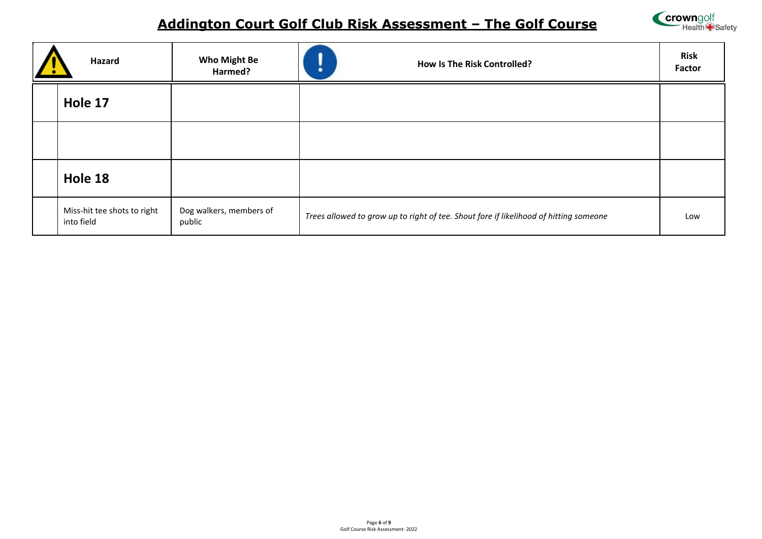

| Hazard                                    | <b>Who Might Be</b><br>Harmed?    | <b>How Is The Risk Controlled?</b><br>٠                                               | <b>Risk</b><br>Factor |
|-------------------------------------------|-----------------------------------|---------------------------------------------------------------------------------------|-----------------------|
| Hole 17                                   |                                   |                                                                                       |                       |
|                                           |                                   |                                                                                       |                       |
| Hole 18                                   |                                   |                                                                                       |                       |
| Miss-hit tee shots to right<br>into field | Dog walkers, members of<br>public | Trees allowed to grow up to right of tee. Shout fore if likelihood of hitting someone | Low                   |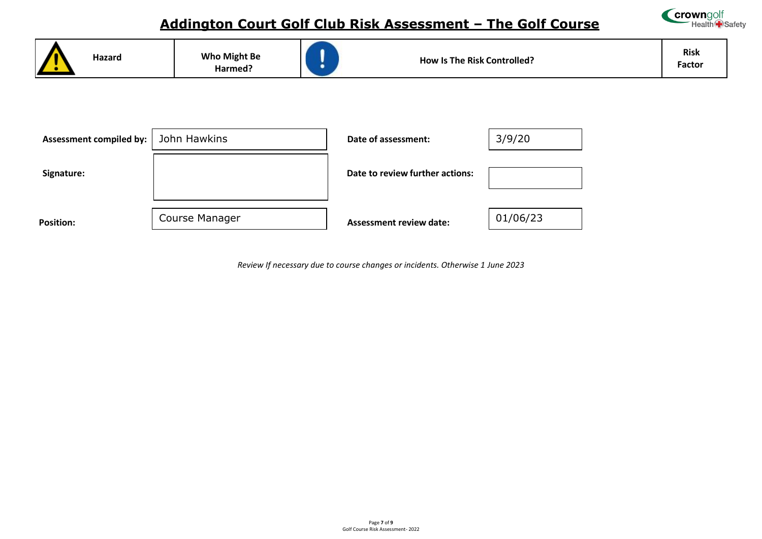





*Review If necessary due to course changes or incidents. Otherwise 1 June 2023*